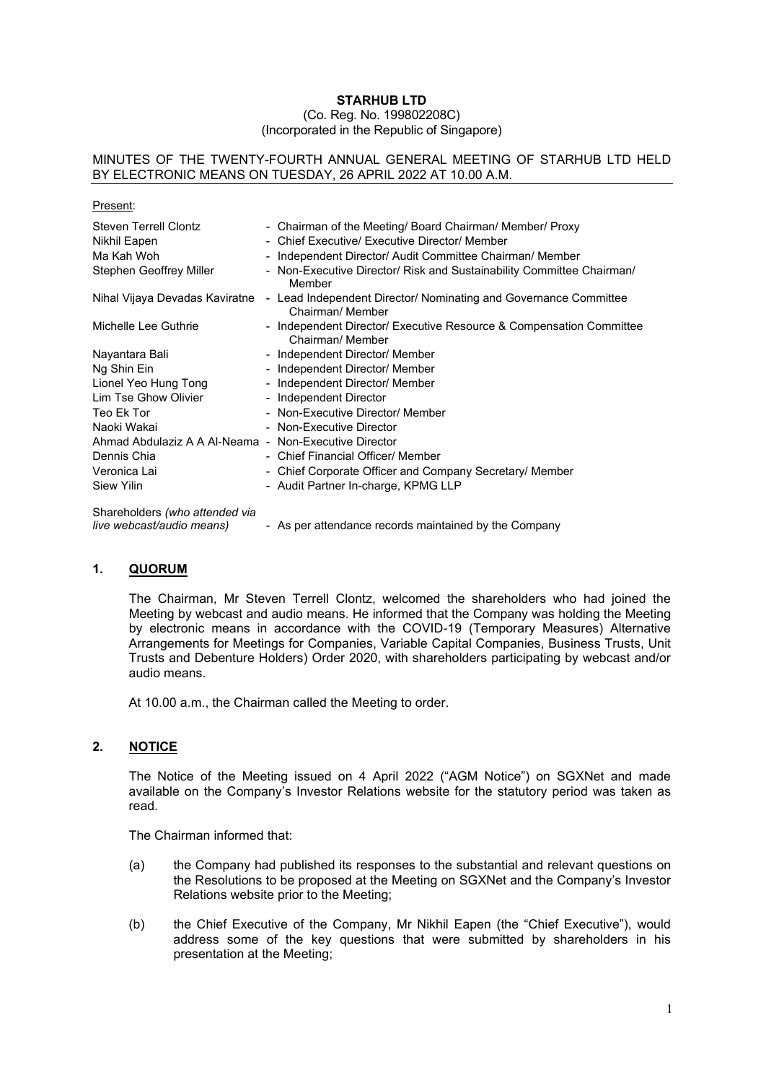### **STARHUB LTD** (Co. Reg. No. 199802208C) (Incorporated in the Republic of Singapore)

### MINUTES OF THE TWENTY-FOURTH ANNUAL GENERAL MEETING OF STARHUB LTD HELD BY ELECTRONIC MEANS ON TUESDAY, 26 APRIL 2022 AT 10.00 A.M.

| Present:                                                    |                                                                                         |
|-------------------------------------------------------------|-----------------------------------------------------------------------------------------|
| <b>Steven Terrell Clontz</b>                                | - Chairman of the Meeting/ Board Chairman/ Member/ Proxy                                |
| Nikhil Eapen                                                | - Chief Executive/ Executive Director/ Member                                           |
| Ma Kah Woh                                                  | - Independent Director/ Audit Committee Chairman/ Member                                |
| Stephen Geoffrey Miller                                     | - Non-Executive Director/ Risk and Sustainability Committee Chairman/<br>Member         |
| Nihal Vijaya Devadas Kaviratne                              | - Lead Independent Director/ Nominating and Governance Committee<br>Chairman/ Member    |
| Michelle Lee Guthrie                                        | - Independent Director/ Executive Resource & Compensation Committee<br>Chairman/ Member |
| Nayantara Bali                                              | - Independent Director/ Member                                                          |
| Ng Shin Ein                                                 | - Independent Director/ Member                                                          |
| Lionel Yeo Hung Tong                                        | - Independent Director/ Member                                                          |
| Lim Tse Ghow Olivier                                        | - Independent Director                                                                  |
| Teo Ek Tor                                                  | - Non-Executive Director/ Member                                                        |
| Naoki Wakai                                                 | - Non-Executive Director                                                                |
| Ahmad Abdulaziz A A Al-Neama - Non-Executive Director       |                                                                                         |
| Dennis Chia                                                 | - Chief Financial Officer/ Member                                                       |
| Veronica Lai                                                | - Chief Corporate Officer and Company Secretary/ Member                                 |
| Siew Yilin                                                  | - Audit Partner In-charge, KPMG LLP                                                     |
| Shareholders (who attended via<br>live webcast/audio means) | - As per attendance records maintained by the Company                                   |

**1. QUORUM**

The Chairman, Mr Steven Terrell Clontz, welcomed the shareholders who had joined the Meeting by webcast and audio means. He informed that the Company was holding the Meeting by electronic means in accordance with the COVID-19 (Temporary Measures) Alternative Arrangements for Meetings for Companies, Variable Capital Companies, Business Trusts, Unit Trusts and Debenture Holders) Order 2020, with shareholders participating by webcast and/or audio means.

At 10.00 a.m., the Chairman called the Meeting to order.

# **2. NOTICE**

The Notice of the Meeting issued on 4 April 2022 ("AGM Notice") on SGXNet and made available on the Company's Investor Relations website for the statutory period was taken as read.

The Chairman informed that:

- (a) the Company had published its responses to the substantial and relevant questions on the Resolutions to be proposed at the Meeting on SGXNet and the Company's Investor Relations website prior to the Meeting;
- (b) the Chief Executive of the Company, Mr Nikhil Eapen (the "Chief Executive"), would address some of the key questions that were submitted by shareholders in his presentation at the Meeting;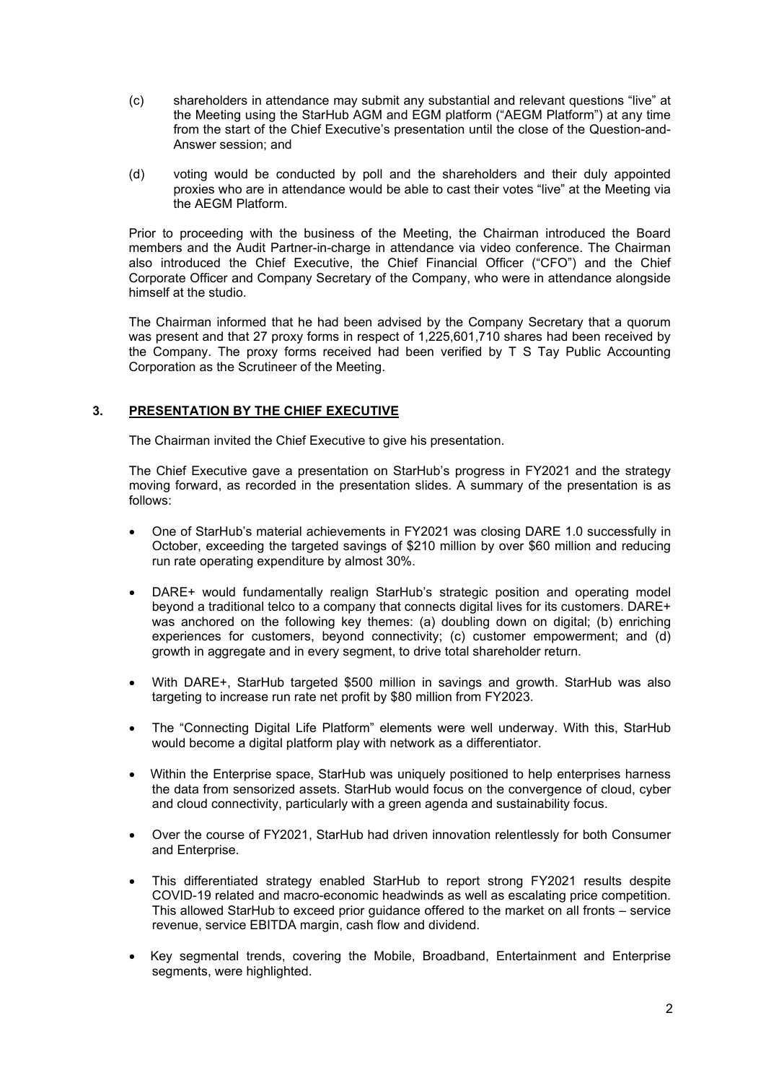- (c) shareholders in attendance may submit any substantial and relevant questions "live" at the Meeting using the StarHub AGM and EGM platform ("AEGM Platform") at any time from the start of the Chief Executive's presentation until the close of the Question-and-Answer session; and
- (d) voting would be conducted by poll and the shareholders and their duly appointed proxies who are in attendance would be able to cast their votes "live" at the Meeting via the AEGM Platform.

Prior to proceeding with the business of the Meeting, the Chairman introduced the Board members and the Audit Partner-in-charge in attendance via video conference. The Chairman also introduced the Chief Executive, the Chief Financial Officer ("CFO") and the Chief Corporate Officer and Company Secretary of the Company, who were in attendance alongside himself at the studio.

The Chairman informed that he had been advised by the Company Secretary that a quorum was present and that 27 proxy forms in respect of 1,225,601,710 shares had been received by the Company. The proxy forms received had been verified by T S Tay Public Accounting Corporation as the Scrutineer of the Meeting.

# **3. PRESENTATION BY THE CHIEF EXECUTIVE**

The Chairman invited the Chief Executive to give his presentation.

The Chief Executive gave a presentation on StarHub's progress in FY2021 and the strategy moving forward, as recorded in the presentation slides. A summary of the presentation is as follows:

- One of StarHub's material achievements in FY2021 was closing DARE 1.0 successfully in October, exceeding the targeted savings of \$210 million by over \$60 million and reducing run rate operating expenditure by almost 30%.
- DARE+ would fundamentally realign StarHub's strategic position and operating model beyond a traditional telco to a company that connects digital lives for its customers. DARE+ was anchored on the following key themes: (a) doubling down on digital; (b) enriching experiences for customers, beyond connectivity; (c) customer empowerment; and (d) growth in aggregate and in every segment, to drive total shareholder return.
- With DARE+, StarHub targeted \$500 million in savings and growth. StarHub was also targeting to increase run rate net profit by \$80 million from FY2023.
- The "Connecting Digital Life Platform" elements were well underway. With this, StarHub would become a digital platform play with network as a differentiator.
- Within the Enterprise space, StarHub was uniquely positioned to help enterprises harness the data from sensorized assets. StarHub would focus on the convergence of cloud, cyber and cloud connectivity, particularly with a green agenda and sustainability focus.
- Over the course of FY2021, StarHub had driven innovation relentlessly for both Consumer and Enterprise.
- This differentiated strategy enabled StarHub to report strong FY2021 results despite COVID-19 related and macro-economic headwinds as well as escalating price competition. This allowed StarHub to exceed prior guidance offered to the market on all fronts – service revenue, service EBITDA margin, cash flow and dividend.
- Key segmental trends, covering the Mobile, Broadband, Entertainment and Enterprise segments, were highlighted.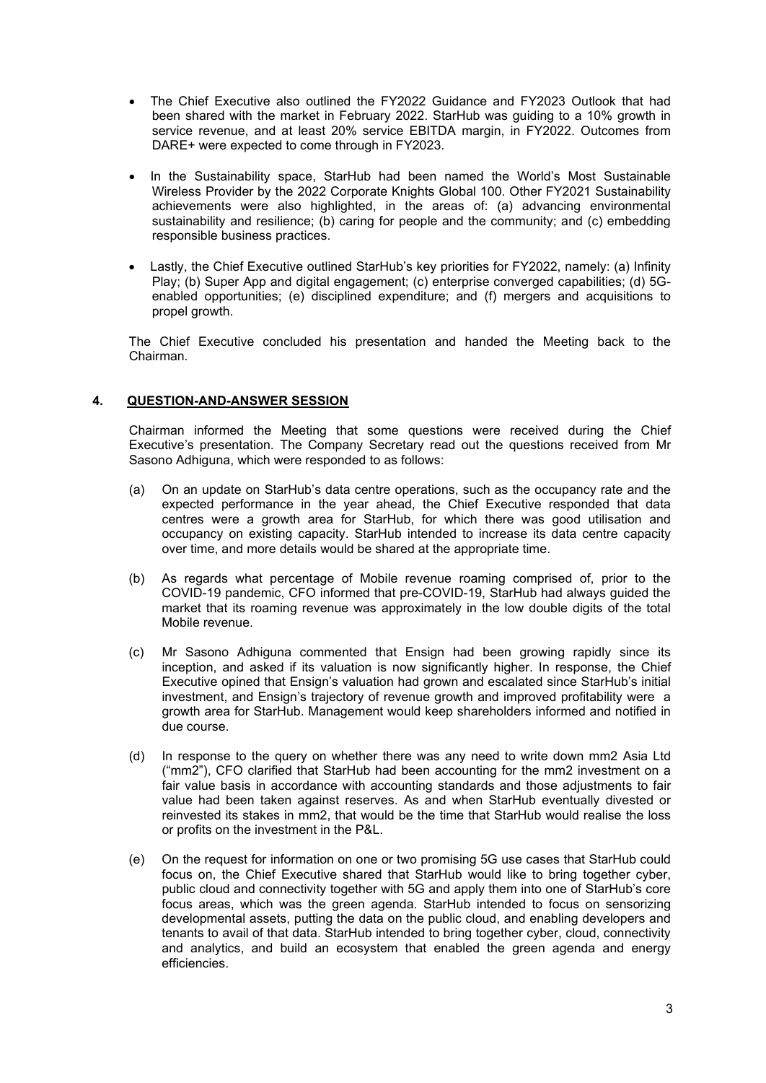- The Chief Executive also outlined the FY2022 Guidance and FY2023 Outlook that had been shared with the market in February 2022. StarHub was guiding to a 10% growth in service revenue, and at least 20% service EBITDA margin, in FY2022. Outcomes from DARE+ were expected to come through in FY2023.
- In the Sustainability space, StarHub had been named the World's Most Sustainable Wireless Provider by the 2022 Corporate Knights Global 100. Other FY2021 Sustainability achievements were also highlighted, in the areas of: (a) advancing environmental sustainability and resilience; (b) caring for people and the community; and (c) embedding responsible business practices.
- Lastly, the Chief Executive outlined StarHub's key priorities for FY2022, namely: (a) Infinity Play; (b) Super App and digital engagement; (c) enterprise converged capabilities; (d) 5Genabled opportunities; (e) disciplined expenditure; and (f) mergers and acquisitions to propel growth.

The Chief Executive concluded his presentation and handed the Meeting back to the Chairman.

# **4. QUESTION-AND-ANSWER SESSION**

Chairman informed the Meeting that some questions were received during the Chief Executive's presentation. The Company Secretary read out the questions received from Mr Sasono Adhiguna, which were responded to as follows:

- (a) On an update on StarHub's data centre operations, such as the occupancy rate and the expected performance in the year ahead, the Chief Executive responded that data centres were a growth area for StarHub, for which there was good utilisation and occupancy on existing capacity. StarHub intended to increase its data centre capacity over time, and more details would be shared at the appropriate time.
- (b) As regards what percentage of Mobile revenue roaming comprised of, prior to the COVID-19 pandemic, CFO informed that pre-COVID-19, StarHub had always guided the market that its roaming revenue was approximately in the low double digits of the total Mobile revenue.
- (c) Mr Sasono Adhiguna commented that Ensign had been growing rapidly since its inception, and asked if its valuation is now significantly higher. In response, the Chief Executive opined that Ensign's valuation had grown and escalated since StarHub's initial investment, and Ensign's trajectory of revenue growth and improved profitability were a growth area for StarHub. Management would keep shareholders informed and notified in due course.
- (d) In response to the query on whether there was any need to write down mm2 Asia Ltd ("mm2"), CFO clarified that StarHub had been accounting for the mm2 investment on a fair value basis in accordance with accounting standards and those adjustments to fair value had been taken against reserves. As and when StarHub eventually divested or reinvested its stakes in mm2, that would be the time that StarHub would realise the loss or profits on the investment in the P&L.
- (e) On the request for information on one or two promising 5G use cases that StarHub could focus on, the Chief Executive shared that StarHub would like to bring together cyber, public cloud and connectivity together with 5G and apply them into one of StarHub's core focus areas, which was the green agenda. StarHub intended to focus on sensorizing developmental assets, putting the data on the public cloud, and enabling developers and tenants to avail of that data. StarHub intended to bring together cyber, cloud, connectivity and analytics, and build an ecosystem that enabled the green agenda and energy efficiencies.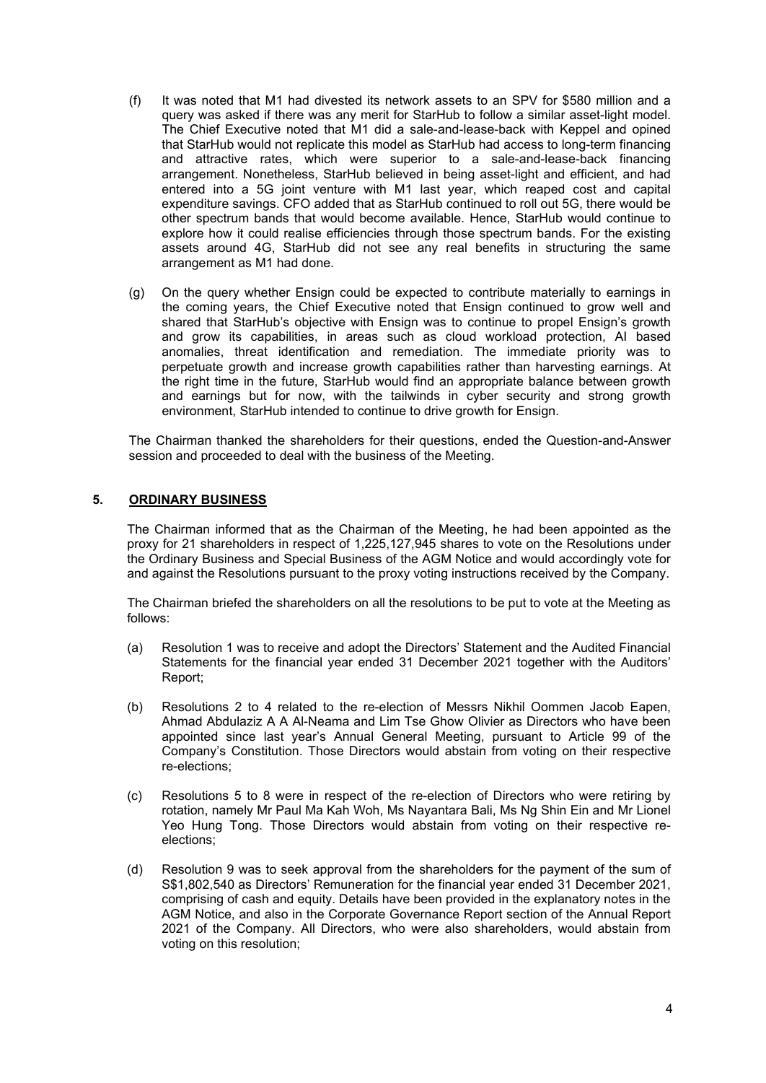- (f) It was noted that M1 had divested its network assets to an SPV for \$580 million and a query was asked if there was any merit for StarHub to follow a similar asset-light model. The Chief Executive noted that M1 did a sale-and-lease-back with Keppel and opined that StarHub would not replicate this model as StarHub had access to long-term financing and attractive rates, which were superior to a sale-and-lease-back financing arrangement. Nonetheless, StarHub believed in being asset-light and efficient, and had entered into a 5G joint venture with M1 last year, which reaped cost and capital expenditure savings. CFO added that as StarHub continued to roll out 5G, there would be other spectrum bands that would become available. Hence, StarHub would continue to explore how it could realise efficiencies through those spectrum bands. For the existing assets around 4G, StarHub did not see any real benefits in structuring the same arrangement as M1 had done.
- (g) On the query whether Ensign could be expected to contribute materially to earnings in the coming years, the Chief Executive noted that Ensign continued to grow well and shared that StarHub's objective with Ensign was to continue to propel Ensign's growth and grow its capabilities, in areas such as cloud workload protection, AI based anomalies, threat identification and remediation. The immediate priority was to perpetuate growth and increase growth capabilities rather than harvesting earnings. At the right time in the future, StarHub would find an appropriate balance between growth and earnings but for now, with the tailwinds in cyber security and strong growth environment, StarHub intended to continue to drive growth for Ensign.

The Chairman thanked the shareholders for their questions, ended the Question-and-Answer session and proceeded to deal with the business of the Meeting.

# **5. ORDINARY BUSINESS**

The Chairman informed that as the Chairman of the Meeting, he had been appointed as the proxy for 21 shareholders in respect of 1,225,127,945 shares to vote on the Resolutions under the Ordinary Business and Special Business of the AGM Notice and would accordingly vote for and against the Resolutions pursuant to the proxy voting instructions received by the Company.

The Chairman briefed the shareholders on all the resolutions to be put to vote at the Meeting as follows:

- (a) Resolution 1 was to receive and adopt the Directors' Statement and the Audited Financial Statements for the financial year ended 31 December 2021 together with the Auditors' Report;
- (b) Resolutions 2 to 4 related to the re-election of Messrs Nikhil Oommen Jacob Eapen, Ahmad Abdulaziz A A Al-Neama and Lim Tse Ghow Olivier as Directors who have been appointed since last year's Annual General Meeting, pursuant to Article 99 of the Company's Constitution. Those Directors would abstain from voting on their respective re-elections;
- (c) Resolutions 5 to 8 were in respect of the re-election of Directors who were retiring by rotation, namely Mr Paul Ma Kah Woh, Ms Nayantara Bali, Ms Ng Shin Ein and Mr Lionel Yeo Hung Tong. Those Directors would abstain from voting on their respective reelections;
- (d) Resolution 9 was to seek approval from the shareholders for the payment of the sum of S\$1,802,540 as Directors' Remuneration for the financial year ended 31 December 2021, comprising of cash and equity. Details have been provided in the explanatory notes in the AGM Notice, and also in the Corporate Governance Report section of the Annual Report 2021 of the Company. All Directors, who were also shareholders, would abstain from voting on this resolution;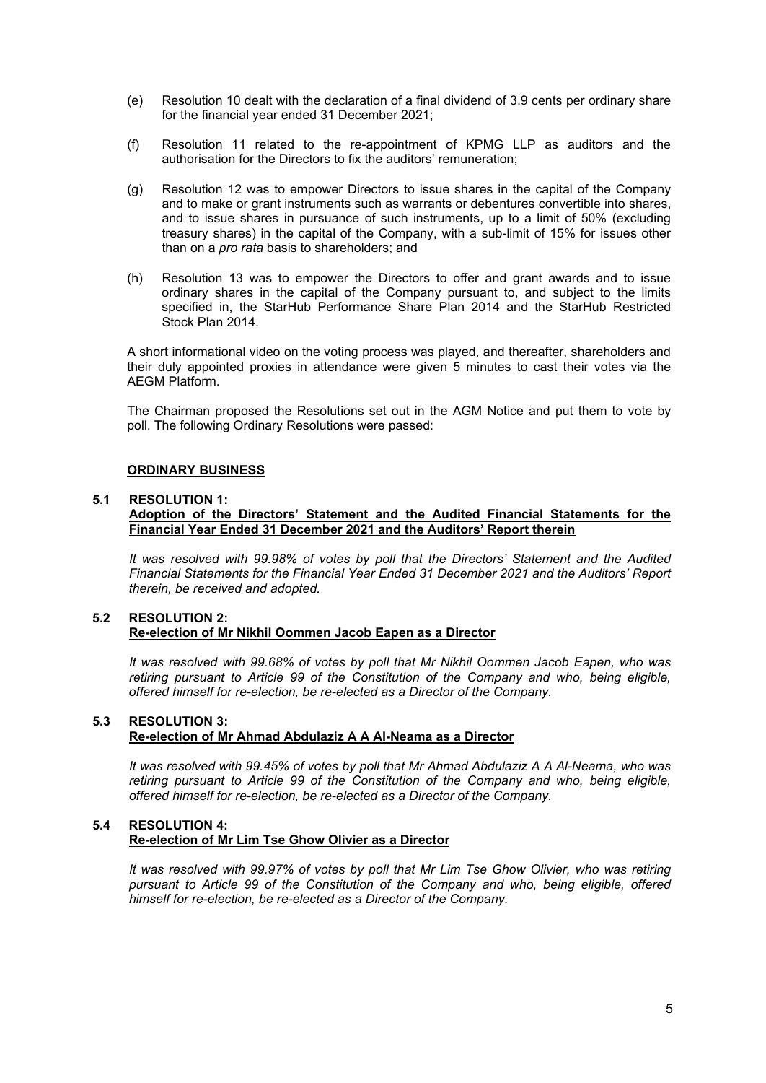- (e) Resolution 10 dealt with the declaration of a final dividend of 3.9 cents per ordinary share for the financial year ended 31 December 2021;
- (f) Resolution 11 related to the re-appointment of KPMG LLP as auditors and the authorisation for the Directors to fix the auditors' remuneration;
- (g) Resolution 12 was to empower Directors to issue shares in the capital of the Company and to make or grant instruments such as warrants or debentures convertible into shares, and to issue shares in pursuance of such instruments, up to a limit of 50% (excluding treasury shares) in the capital of the Company, with a sub-limit of 15% for issues other than on a *pro rata* basis to shareholders; and
- (h) Resolution 13 was to empower the Directors to offer and grant awards and to issue ordinary shares in the capital of the Company pursuant to, and subject to the limits specified in, the StarHub Performance Share Plan 2014 and the StarHub Restricted Stock Plan 2014.

A short informational video on the voting process was played, and thereafter, shareholders and their duly appointed proxies in attendance were given 5 minutes to cast their votes via the AEGM Platform.

The Chairman proposed the Resolutions set out in the AGM Notice and put them to vote by poll. The following Ordinary Resolutions were passed:

#### **ORDINARY BUSINESS**

#### **5.1 RESOLUTION 1:**

### **Adoption of the Directors' Statement and the Audited Financial Statements for the Financial Year Ended 31 December 2021 and the Auditors' Report therein**

*It was resolved with 99.98% of votes by poll that the Directors' Statement and the Audited Financial Statements for the Financial Year Ended 31 December 2021 and the Auditors' Report therein, be received and adopted.* 

#### **5.2 RESOLUTION 2: Re-election of Mr Nikhil Oommen Jacob Eapen as a Director**

*It was resolved with 99.68% of votes by poll that Mr Nikhil Oommen Jacob Eapen, who was retiring pursuant to Article 99 of the Constitution of the Company and who, being eligible, offered himself for re-election, be re-elected as a Director of the Company.*

## **5.3 RESOLUTION 3: Re-election of Mr Ahmad Abdulaziz A A Al-Neama as a Director**

*It was resolved with 99.45% of votes by poll that Mr Ahmad Abdulaziz A A Al-Neama, who was retiring pursuant to Article 99 of the Constitution of the Company and who, being eligible, offered himself for re-election, be re-elected as a Director of the Company.*

## **5.4 RESOLUTION 4: Re-election of Mr Lim Tse Ghow Olivier as a Director**

*It was resolved with 99.97% of votes by poll that Mr Lim Tse Ghow Olivier, who was retiring pursuant to Article 99 of the Constitution of the Company and who, being eligible, offered himself for re-election, be re-elected as a Director of the Company.*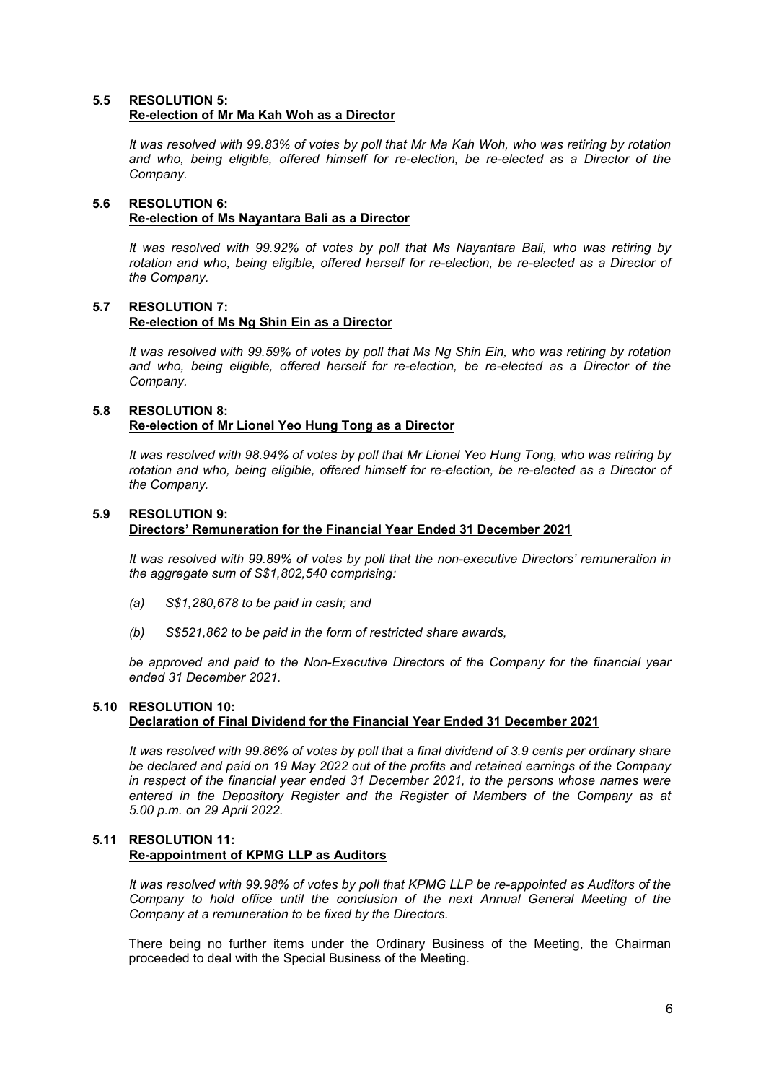### **5.5 RESOLUTION 5: Re-election of Mr Ma Kah Woh as a Director**

*It was resolved with 99.83% of votes by poll that Mr Ma Kah Woh, who was retiring by rotation and who, being eligible, offered himself for re-election, be re-elected as a Director of the Company.*

## **5.6 RESOLUTION 6: Re-election of Ms Nayantara Bali as a Director**

*It was resolved with 99.92% of votes by poll that Ms Nayantara Bali, who was retiring by rotation and who, being eligible, offered herself for re-election, be re-elected as a Director of the Company.*

## **5.7 RESOLUTION 7: Re-election of Ms Ng Shin Ein as a Director**

*It was resolved with 99.59% of votes by poll that Ms Ng Shin Ein, who was retiring by rotation and who, being eligible, offered herself for re-election, be re-elected as a Director of the Company.* 

### **5.8 RESOLUTION 8: Re-election of Mr Lionel Yeo Hung Tong as a Director**

*It was resolved with 98.94% of votes by poll that Mr Lionel Yeo Hung Tong, who was retiring by rotation and who, being eligible, offered himself for re-election, be re-elected as a Director of the Company.*

# **5.9 RESOLUTION 9:**

# **Directors' Remuneration for the Financial Year Ended 31 December 2021**

*It was resolved with 99.89% of votes by poll that the non-executive Directors' remuneration in the aggregate sum of S\$1,802,540 comprising:*

- *(a) S\$1,280,678 to be paid in cash; and*
- *(b) S\$521,862 to be paid in the form of restricted share awards,*

*be approved and paid to the Non-Executive Directors of the Company for the financial year ended 31 December 2021.* 

# **5.10 RESOLUTION 10: Declaration of Final Dividend for the Financial Year Ended 31 December 2021**

*It was resolved with 99.86% of votes by poll that a final dividend of 3.9 cents per ordinary share be declared and paid on 19 May 2022 out of the profits and retained earnings of the Company in respect of the financial year ended 31 December 2021, to the persons whose names were entered in the Depository Register and the Register of Members of the Company as at 5.00 p.m. on 29 April 2022.* 

# **5.11 RESOLUTION 11: Re-appointment of KPMG LLP as Auditors**

*It was resolved with 99.98% of votes by poll that KPMG LLP be re-appointed as Auditors of the Company to hold office until the conclusion of the next Annual General Meeting of the Company at a remuneration to be fixed by the Directors.*

There being no further items under the Ordinary Business of the Meeting, the Chairman proceeded to deal with the Special Business of the Meeting.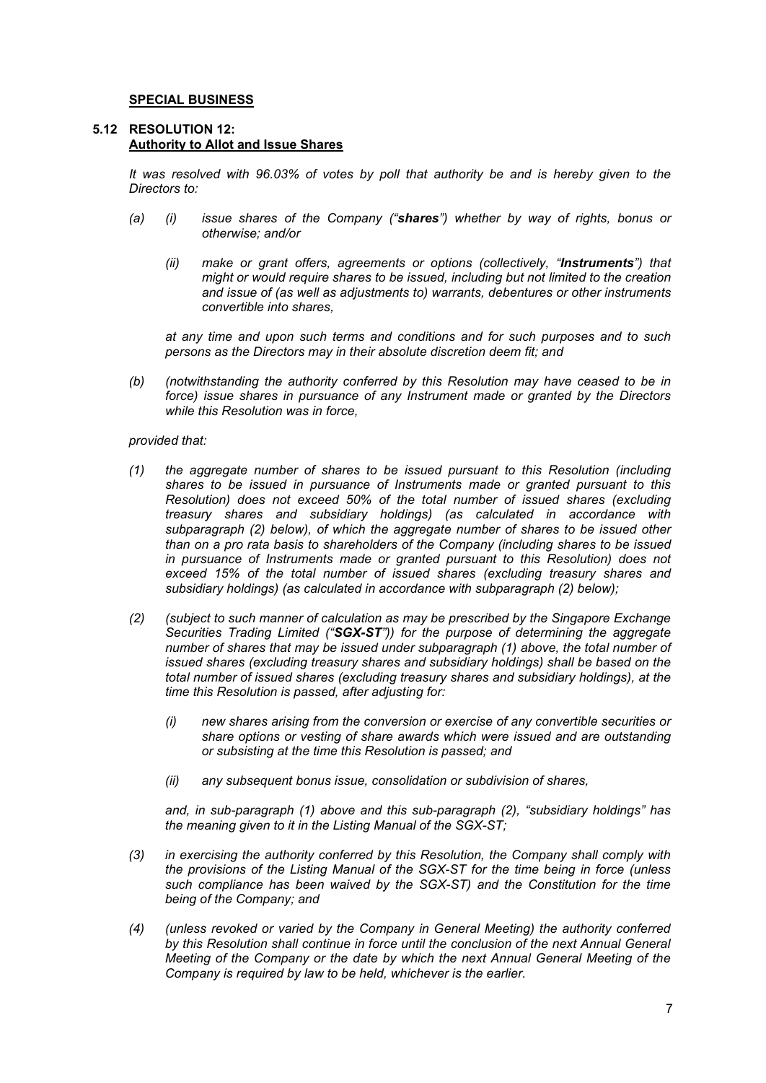### **SPECIAL BUSINESS**

#### **5.12 RESOLUTION 12: Authority to Allot and Issue Shares**

*It was resolved with 96.03% of votes by poll that authority be and is hereby given to the Directors to:*

- *(a) (i) issue shares of the Company ("shares") whether by way of rights, bonus or otherwise; and/or*
	- *(ii) make or grant offers, agreements or options (collectively, "Instruments") that might or would require shares to be issued, including but not limited to the creation and issue of (as well as adjustments to) warrants, debentures or other instruments convertible into shares,*

*at any time and upon such terms and conditions and for such purposes and to such persons as the Directors may in their absolute discretion deem fit; and*

*(b) (notwithstanding the authority conferred by this Resolution may have ceased to be in force) issue shares in pursuance of any Instrument made or granted by the Directors while this Resolution was in force,*

### *provided that:*

- *(1) the aggregate number of shares to be issued pursuant to this Resolution (including shares to be issued in pursuance of Instruments made or granted pursuant to this Resolution) does not exceed 50% of the total number of issued shares (excluding treasury shares and subsidiary holdings) (as calculated in accordance with subparagraph (2) below), of which the aggregate number of shares to be issued other than on a pro rata basis to shareholders of the Company (including shares to be issued in pursuance of Instruments made or granted pursuant to this Resolution) does not exceed 15% of the total number of issued shares (excluding treasury shares and subsidiary holdings) (as calculated in accordance with subparagraph (2) below);*
- *(2) (subject to such manner of calculation as may be prescribed by the Singapore Exchange Securities Trading Limited ("SGX-ST")) for the purpose of determining the aggregate number of shares that may be issued under subparagraph (1) above, the total number of issued shares (excluding treasury shares and subsidiary holdings) shall be based on the total number of issued shares (excluding treasury shares and subsidiary holdings), at the time this Resolution is passed, after adjusting for:*
	- *(i) new shares arising from the conversion or exercise of any convertible securities or share options or vesting of share awards which were issued and are outstanding or subsisting at the time this Resolution is passed; and*
	- *(ii) any subsequent bonus issue, consolidation or subdivision of shares,*

*and, in sub-paragraph (1) above and this sub-paragraph (2), "subsidiary holdings" has the meaning given to it in the Listing Manual of the SGX-ST;*

- *(3) in exercising the authority conferred by this Resolution, the Company shall comply with the provisions of the Listing Manual of the SGX-ST for the time being in force (unless such compliance has been waived by the SGX-ST) and the Constitution for the time being of the Company; and*
- *(4) (unless revoked or varied by the Company in General Meeting) the authority conferred by this Resolution shall continue in force until the conclusion of the next Annual General Meeting of the Company or the date by which the next Annual General Meeting of the Company is required by law to be held, whichever is the earlier.*